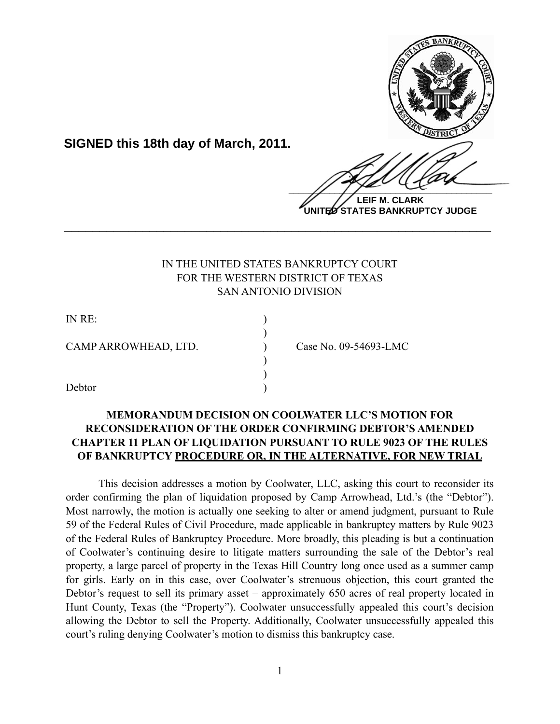

**UNITED STATES BANKRUPTCY JUDGE**

# IN THE UNITED STATES BANKRUPTCY COURT FOR THE WESTERN DISTRICT OF TEXAS SAN ANTONIO DIVISION

**\_\_\_\_\_\_\_\_\_\_\_\_\_\_\_\_\_\_\_\_\_\_\_\_\_\_\_\_\_\_\_\_\_\_\_\_\_\_\_\_\_\_\_\_\_\_\_\_\_\_\_\_\_\_\_\_\_\_\_\_**

| IN RE:               |                       |
|----------------------|-----------------------|
|                      |                       |
| CAMP ARROWHEAD, LTD. | Case No. 09-54693-LMC |
|                      |                       |
|                      |                       |
| Debtor               |                       |

**SIGNED this 18th day of March, 2011.**

# **MEMORANDUM DECISION ON COOLWATER LLC'S MOTION FOR RECONSIDERATION OF THE ORDER CONFIRMING DEBTOR'S AMENDED CHAPTER 11 PLAN OF LIQUIDATION PURSUANT TO RULE 9023 OF THE RULES OF BANKRUPTCY PROCEDURE OR, IN THE ALTERNATIVE, FOR NEW TRIAL**

 This decision addresses a motion by Coolwater, LLC, asking this court to reconsider its order confirming the plan of liquidation proposed by Camp Arrowhead, Ltd.'s (the "Debtor"). Most narrowly, the motion is actually one seeking to alter or amend judgment, pursuant to Rule 59 of the Federal Rules of Civil Procedure, made applicable in bankruptcy matters by Rule 9023 of the Federal Rules of Bankruptcy Procedure. More broadly, this pleading is but a continuation of Coolwater's continuing desire to litigate matters surrounding the sale of the Debtor's real property, a large parcel of property in the Texas Hill Country long once used as a summer camp for girls. Early on in this case, over Coolwater's strenuous objection, this court granted the Debtor's request to sell its primary asset – approximately 650 acres of real property located in Hunt County, Texas (the "Property"). Coolwater unsuccessfully appealed this court's decision allowing the Debtor to sell the Property. Additionally, Coolwater unsuccessfully appealed this court's ruling denying Coolwater's motion to dismiss this bankruptcy case.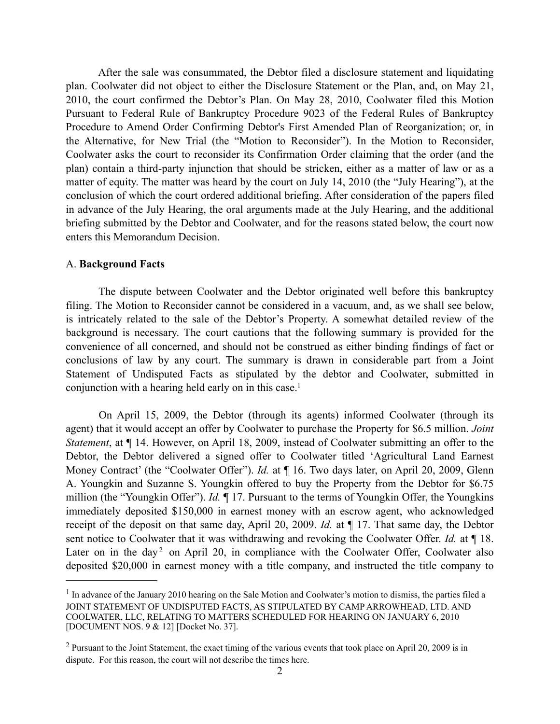After the sale was consummated, the Debtor filed a disclosure statement and liquidating plan. Coolwater did not object to either the Disclosure Statement or the Plan, and, on May 21, 2010, the court confirmed the Debtor's Plan. On May 28, 2010, Coolwater filed this Motion Pursuant to Federal Rule of Bankruptcy Procedure 9023 of the Federal Rules of Bankruptcy Procedure to Amend Order Confirming Debtor's First Amended Plan of Reorganization; or, in the Alternative, for New Trial (the "Motion to Reconsider"). In the Motion to Reconsider, Coolwater asks the court to reconsider its Confirmation Order claiming that the order (and the plan) contain a third-party injunction that should be stricken, either as a matter of law or as a matter of equity. The matter was heard by the court on July 14, 2010 (the "July Hearing"), at the conclusion of which the court ordered additional briefing. After consideration of the papers filed in advance of the July Hearing, the oral arguments made at the July Hearing, and the additional briefing submitted by the Debtor and Coolwater, and for the reasons stated below, the court now enters this Memorandum Decision.

### A. **Background Facts**

 The dispute between Coolwater and the Debtor originated well before this bankruptcy filing. The Motion to Reconsider cannot be considered in a vacuum, and, as we shall see below, is intricately related to the sale of the Debtor's Property. A somewhat detailed review of the background is necessary. The court cautions that the following summary is provided for the convenience of all concerned, and should not be construed as either binding findings of fact or conclusions of law by any court. The summary is drawn in considerable part from a Joint Statement of Undisputed Facts as stipulated by the debtor and Coolwater, submitted in conjunction with a hearing held early on in this case.<sup>1</sup>

 On April 15, 2009, the Debtor (through its agents) informed Coolwater (through its agent) that it would accept an offer by Coolwater to purchase the Property for \$6.5 million. *Joint Statement*, at ¶ 14. However, on April 18, 2009, instead of Coolwater submitting an offer to the Debtor, the Debtor delivered a signed offer to Coolwater titled 'Agricultural Land Earnest Money Contract' (the "Coolwater Offer"). *Id.* at  $\P$  16. Two days later, on April 20, 2009, Glenn A. Youngkin and Suzanne S. Youngkin offered to buy the Property from the Debtor for \$6.75 million (the "Youngkin Offer"). *Id.* ¶ 17. Pursuant to the terms of Youngkin Offer, the Youngkins immediately deposited \$150,000 in earnest money with an escrow agent, who acknowledged receipt of the deposit on that same day, April 20, 2009. *Id.* at ¶ 17. That same day, the Debtor sent notice to Coolwater that it was withdrawing and revoking the Coolwater Offer. *Id.* at ¶ 18. Later on in the day<sup>[2](#page-1-1)</sup> on April 20, in compliance with the Coolwater Offer, Coolwater also deposited \$20,000 in earnest money with a title company, and instructed the title company to

<span id="page-1-0"></span> $<sup>1</sup>$  In advance of the January 2010 hearing on the Sale Motion and Coolwater's motion to dismiss, the parties filed a</sup> JOINT STATEMENT OF UNDISPUTED FACTS, AS STIPULATED BY CAMP ARROWHEAD, LTD. AND COOLWATER, LLC, RELATING TO MATTERS SCHEDULED FOR HEARING ON JANUARY 6, 2010 [DOCUMENT NOS. 9 & 12] [Docket No. 37].

<span id="page-1-1"></span><sup>&</sup>lt;sup>2</sup> Pursuant to the Joint Statement, the exact timing of the various events that took place on April 20, 2009 is in dispute. For this reason, the court will not describe the times here.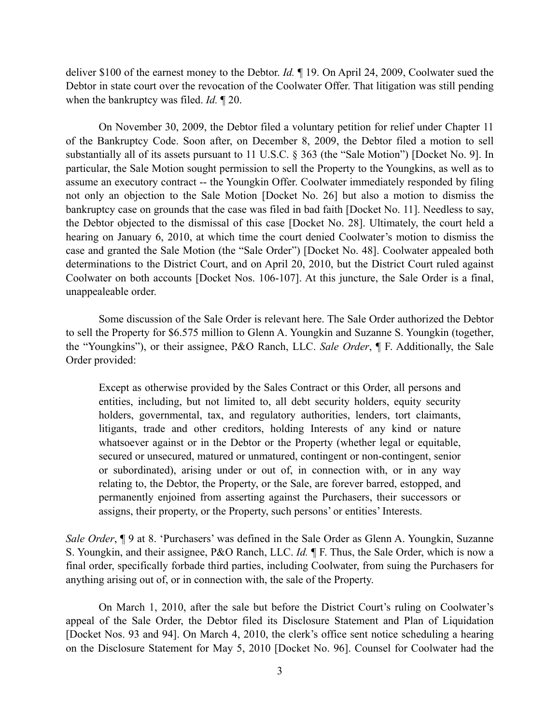deliver \$100 of the earnest money to the Debtor. *Id.* ¶ 19. On April 24, 2009, Coolwater sued the Debtor in state court over the revocation of the Coolwater Offer. That litigation was still pending when the bankruptcy was filed. *Id.* ¶ 20.

 On November 30, 2009, the Debtor filed a voluntary petition for relief under Chapter 11 of the Bankruptcy Code. Soon after, on December 8, 2009, the Debtor filed a motion to sell substantially all of its assets pursuant to 11 U.S.C. § 363 (the "Sale Motion") [Docket No. 9]. In particular, the Sale Motion sought permission to sell the Property to the Youngkins, as well as to assume an executory contract -- the Youngkin Offer. Coolwater immediately responded by filing not only an objection to the Sale Motion [Docket No. 26] but also a motion to dismiss the bankruptcy case on grounds that the case was filed in bad faith [Docket No. 11]. Needless to say, the Debtor objected to the dismissal of this case [Docket No. 28]. Ultimately, the court held a hearing on January 6, 2010, at which time the court denied Coolwater's motion to dismiss the case and granted the Sale Motion (the "Sale Order") [Docket No. 48]. Coolwater appealed both determinations to the District Court, and on April 20, 2010, but the District Court ruled against Coolwater on both accounts [Docket Nos. 106-107]. At this juncture, the Sale Order is a final, unappealeable order.

 Some discussion of the Sale Order is relevant here. The Sale Order authorized the Debtor to sell the Property for \$6.575 million to Glenn A. Youngkin and Suzanne S. Youngkin (together, the "Youngkins"), or their assignee, P&O Ranch, LLC. *Sale Order*, ¶ F. Additionally, the Sale Order provided:

Except as otherwise provided by the Sales Contract or this Order, all persons and entities, including, but not limited to, all debt security holders, equity security holders, governmental, tax, and regulatory authorities, lenders, tort claimants, litigants, trade and other creditors, holding Interests of any kind or nature whatsoever against or in the Debtor or the Property (whether legal or equitable, secured or unsecured, matured or unmatured, contingent or non-contingent, senior or subordinated), arising under or out of, in connection with, or in any way relating to, the Debtor, the Property, or the Sale, are forever barred, estopped, and permanently enjoined from asserting against the Purchasers, their successors or assigns, their property, or the Property, such persons' or entities' Interests.

*Sale Order*, ¶ 9 at 8. 'Purchasers' was defined in the Sale Order as Glenn A. Youngkin, Suzanne S. Youngkin, and their assignee, P&O Ranch, LLC. *Id.* ¶ F. Thus, the Sale Order, which is now a final order, specifically forbade third parties, including Coolwater, from suing the Purchasers for anything arising out of, or in connection with, the sale of the Property.

 On March 1, 2010, after the sale but before the District Court's ruling on Coolwater's appeal of the Sale Order, the Debtor filed its Disclosure Statement and Plan of Liquidation [Docket Nos. 93 and 94]. On March 4, 2010, the clerk's office sent notice scheduling a hearing on the Disclosure Statement for May 5, 2010 [Docket No. 96]. Counsel for Coolwater had the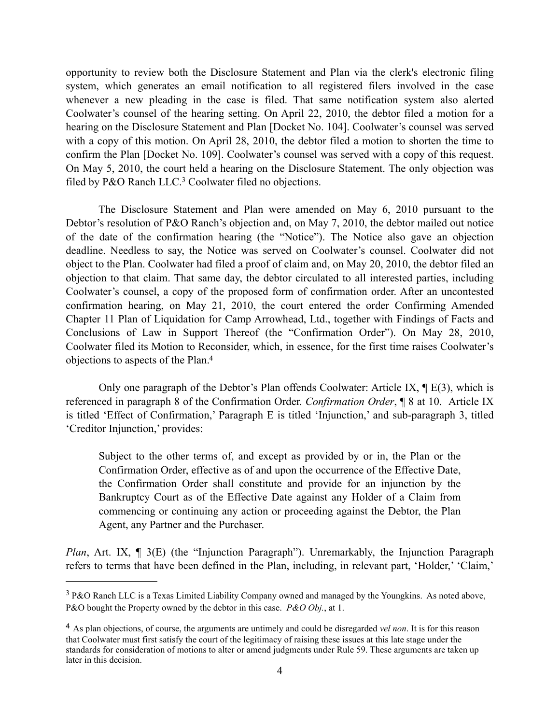opportunity to review both the Disclosure Statement and Plan via the clerk's electronic filing system, which generates an email notification to all registered filers involved in the case whenever a new pleading in the case is filed. That same notification system also alerted Coolwater's counsel of the hearing setting. On April 22, 2010, the debtor filed a motion for a hearing on the Disclosure Statement and Plan [Docket No. 104]. Coolwater's counsel was served with a copy of this motion. On April 28, 2010, the debtor filed a motion to shorten the time to confirm the Plan [Docket No. 109]. Coolwater's counsel was served with a copy of this request. On May 5, 2010, the court held a hearing on the Disclosure Statement. The only objection was filed by P&O Ranch LLC.<sup>3</sup> Coolwater filed no objections.

 The Disclosure Statement and Plan were amended on May 6, 2010 pursuant to the Debtor's resolution of P&O Ranch's objection and, on May 7, 2010, the debtor mailed out notice of the date of the confirmation hearing (the "Notice"). The Notice also gave an objection deadline. Needless to say, the Notice was served on Coolwater's counsel. Coolwater did not object to the Plan. Coolwater had filed a proof of claim and, on May 20, 2010, the debtor filed an objection to that claim. That same day, the debtor circulated to all interested parties, including Coolwater's counsel, a copy of the proposed form of confirmation order. After an uncontested confirmation hearing, on May 21, 2010, the court entered the order Confirming Amended Chapter 11 Plan of Liquidation for Camp Arrowhead, Ltd., together with Findings of Facts and Conclusions of Law in Support Thereof (the "Confirmation Order"). On May 28, 2010, Coolwater filed its Motion to Reconsider, which, in essence, for the first time raises Coolwater's objections to aspects of the Plan[.4](#page-3-1)

Only one paragraph of the Debtor's Plan offends Coolwater: Article IX,  $\P$  E(3), which is referenced in paragraph 8 of the Confirmation Order. *Confirmation Order*, ¶ 8 at 10. Article IX is titled 'Effect of Confirmation,' Paragraph E is titled 'Injunction,' and sub-paragraph 3, titled 'Creditor Injunction,' provides:

Subject to the other terms of, and except as provided by or in, the Plan or the Confirmation Order, effective as of and upon the occurrence of the Effective Date, the Confirmation Order shall constitute and provide for an injunction by the Bankruptcy Court as of the Effective Date against any Holder of a Claim from commencing or continuing any action or proceeding against the Debtor, the Plan Agent, any Partner and the Purchaser.

*Plan*, Art. IX,  $\parallel$  3(E) (the "Injunction Paragraph"). Unremarkably, the Injunction Paragraph refers to terms that have been defined in the Plan, including, in relevant part, 'Holder,' 'Claim,'

<span id="page-3-0"></span><sup>3</sup> P&O Ranch LLC is a Texas Limited Liability Company owned and managed by the Youngkins. As noted above, P&O bought the Property owned by the debtor in this case. *P&O Obj.*, at 1.

<span id="page-3-1"></span><sup>4</sup> As plan objections, of course, the arguments are untimely and could be disregarded *vel non*. It is for this reason that Coolwater must first satisfy the court of the legitimacy of raising these issues at this late stage under the standards for consideration of motions to alter or amend judgments under Rule 59. These arguments are taken up later in this decision.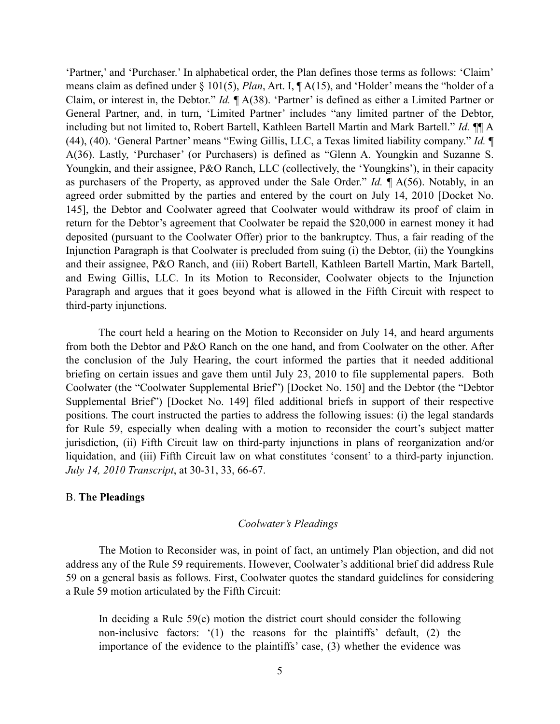'Partner,' and 'Purchaser.' In alphabetical order, the Plan defines those terms as follows: 'Claim' means claim as defined under § 101(5), *Plan*, Art. I, ¶ A(15), and 'Holder' means the "holder of a Claim, or interest in, the Debtor." *Id.* ¶ A(38). 'Partner' is defined as either a Limited Partner or General Partner, and, in turn, 'Limited Partner' includes "any limited partner of the Debtor, including but not limited to, Robert Bartell, Kathleen Bartell Martin and Mark Bartell." *Id.* ¶¶ A (44), (40). 'General Partner' means "Ewing Gillis, LLC, a Texas limited liability company." *Id.* ¶ A(36). Lastly, 'Purchaser' (or Purchasers) is defined as "Glenn A. Youngkin and Suzanne S. Youngkin, and their assignee, P&O Ranch, LLC (collectively, the 'Youngkins'), in their capacity as purchasers of the Property, as approved under the Sale Order." *Id.* ¶ A(56). Notably, in an agreed order submitted by the parties and entered by the court on July 14, 2010 [Docket No. 145], the Debtor and Coolwater agreed that Coolwater would withdraw its proof of claim in return for the Debtor's agreement that Coolwater be repaid the \$20,000 in earnest money it had deposited (pursuant to the Coolwater Offer) prior to the bankruptcy. Thus, a fair reading of the Injunction Paragraph is that Coolwater is precluded from suing (i) the Debtor, (ii) the Youngkins and their assignee, P&O Ranch, and (iii) Robert Bartell, Kathleen Bartell Martin, Mark Bartell, and Ewing Gillis, LLC. In its Motion to Reconsider, Coolwater objects to the Injunction Paragraph and argues that it goes beyond what is allowed in the Fifth Circuit with respect to third-party injunctions.

 The court held a hearing on the Motion to Reconsider on July 14, and heard arguments from both the Debtor and P&O Ranch on the one hand, and from Coolwater on the other. After the conclusion of the July Hearing, the court informed the parties that it needed additional briefing on certain issues and gave them until July 23, 2010 to file supplemental papers. Both Coolwater (the "Coolwater Supplemental Brief") [Docket No. 150] and the Debtor (the "Debtor Supplemental Brief") [Docket No. 149] filed additional briefs in support of their respective positions. The court instructed the parties to address the following issues: (i) the legal standards for Rule 59, especially when dealing with a motion to reconsider the court's subject matter jurisdiction, (ii) Fifth Circuit law on third-party injunctions in plans of reorganization and/or liquidation, and (iii) Fifth Circuit law on what constitutes 'consent' to a third-party injunction. *July 14, 2010 Transcript*, at 30-31, 33, 66-67.

# B. **The Pleadings**

## *Coolwater's Pleadings*

The Motion to Reconsider was, in point of fact, an untimely Plan objection, and did not address any of the Rule 59 requirements. However, Coolwater's additional brief did address Rule 59 on a general basis as follows. First, Coolwater quotes the standard guidelines for considering a Rule 59 motion articulated by the Fifth Circuit:

In deciding a Rule 59(e) motion the district court should consider the following non-inclusive factors: '(1) the reasons for the plaintiffs' default, (2) the importance of the evidence to the plaintiffs' case, (3) whether the evidence was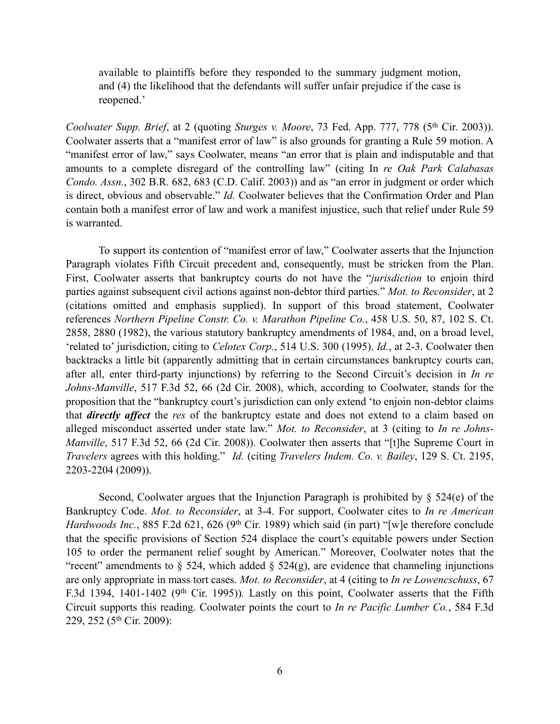available to plaintiffs before they responded to the summary judgment motion, and (4) the likelihood that the defendants will suffer unfair prejudice if the case is reopened.'

*Coolwater Supp. Brief*, at 2 (quoting *Sturges v. Moore*, 73 Fed. App. 777, 778 (5th Cir. 2003)). Coolwater asserts that a "manifest error of law" is also grounds for granting a Rule 59 motion. A "manifest error of law," says Coolwater, means "an error that is plain and indisputable and that amounts to a complete disregard of the controlling law" (citing In *re Oak Park Calabasas Condo. Assn.*, 302 B.R. 682, 683 (C.D. Calif. 2003)) and as "an error in judgment or order which is direct, obvious and observable." *Id.* Coolwater believes that the Confirmation Order and Plan contain both a manifest error of law and work a manifest injustice, such that relief under Rule 59 is warranted.

 To support its contention of "manifest error of law," Coolwater asserts that the Injunction Paragraph violates Fifth Circuit precedent and, consequently, must be stricken from the Plan. First, Coolwater asserts that bankruptcy courts do not have the "*jurisdiction* to enjoin third parties against subsequent civil actions against non-debtor third parties." *Mot. to Reconsider*, at 2 (citations omitted and emphasis supplied). In support of this broad statement, Coolwater references *Northern Pipeline Constr. Co. v. Marathon Pipeline Co.*, 458 U.S. 50, 87, 102 S. Ct. 2858, 2880 (1982), the various statutory bankruptcy amendments of 1984, and, on a broad level, 'related to' jurisdiction, citing to *Celotex Corp.*, 514 U.S. 300 (1995). *Id.*, at 2-3. Coolwater then backtracks a little bit (apparently admitting that in certain circumstances bankruptcy courts can, after all, enter third-party injunctions) by referring to the Second Circuit's decision in *In re Johns-Manville*, 517 F.3d 52, 66 (2d Cir. 2008), which, according to Coolwater, stands for the proposition that the "bankruptcy court's jurisdiction can only extend 'to enjoin non-debtor claims that *directly affect* the *res* of the bankruptcy estate and does not extend to a claim based on alleged misconduct asserted under state law." *Mot. to Reconsider*, at 3 (citing to *In re Johns-Manville*, 517 F.3d 52, 66 (2d Cir. 2008)). Coolwater then asserts that "[t]he Supreme Court in *Travelers* agrees with this holding." *Id.* (citing *Travelers Indem. Co. v. Bailey*, 129 S. Ct. 2195, 2203-2204 (2009)).

Second, Coolwater argues that the Injunction Paragraph is prohibited by  $\S$  524(e) of the Bankruptcy Code. *Mot. to Reconsider*, at 3-4. For support, Coolwater cites to *In re American Hardwoods Inc.*, 885 F.2d 621, 626 (9<sup>th</sup> Cir. 1989) which said (in part) "[w]e therefore conclude that the specific provisions of Section 524 displace the court's equitable powers under Section 105 to order the permanent relief sought by American." Moreover, Coolwater notes that the "recent" amendments to  $\S$  524, which added  $\S$  524(g), are evidence that channeling injunctions are only appropriate in mass tort cases. *Mot. to Reconsider*, at 4 (citing to *In re Lowencschuss*, 67 F.3d 1394, 1401-1402 (9<sup>th</sup> Cir. 1995)). Lastly on this point, Coolwater asserts that the Fifth Circuit supports this reading. Coolwater points the court to *In re Pacific Lumber Co.*, 584 F.3d 229, 252 (5th Cir. 2009):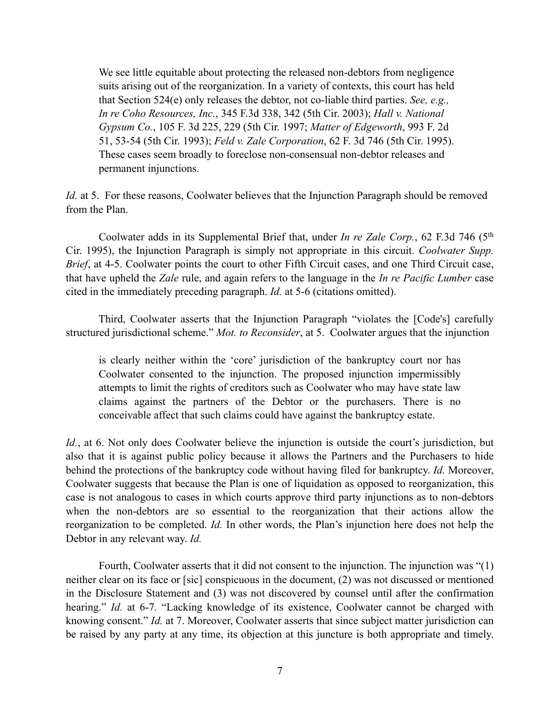We see little equitable about protecting the released non-debtors from negligence suits arising out of the reorganization. In a variety of contexts, this court has held that Section 524(e) only releases the debtor, not co-liable third parties. *See, e.g., In re Coho Resources, Inc.*, 345 F.3d 338, 342 (5th Cir. 2003); *Hall v. National Gypsum Co.*, 105 F. 3d 225, 229 (5th Cir. 1997; *Matter of Edgeworth*, 993 F. 2d 51, 53-54 (5th Cir. 1993); *Feld v. Zale Corporation*, 62 F. 3d 746 (5th Cir. 1995). These cases seem broadly to foreclose non-consensual non-debtor releases and permanent injunctions.

*Id.* at 5. For these reasons, Coolwater believes that the Injunction Paragraph should be removed from the Plan.

 Coolwater adds in its Supplemental Brief that, under *In re Zale Corp.*, 62 F.3d 746 (5th Cir. 1995), the Injunction Paragraph is simply not appropriate in this circuit. *Coolwater Supp. Brief*, at 4-5. Coolwater points the court to other Fifth Circuit cases, and one Third Circuit case, that have upheld the *Zale* rule, and again refers to the language in the *In re Pacific Lumber* case cited in the immediately preceding paragraph. *Id.* at 5-6 (citations omitted).

 Third, Coolwater asserts that the Injunction Paragraph "violates the [Code's] carefully structured jurisdictional scheme." *Mot. to Reconsider*, at 5. Coolwater argues that the injunction

is clearly neither within the 'core' jurisdiction of the bankruptcy court nor has Coolwater consented to the injunction. The proposed injunction impermissibly attempts to limit the rights of creditors such as Coolwater who may have state law claims against the partners of the Debtor or the purchasers. There is no conceivable affect that such claims could have against the bankruptcy estate.

*Id.*, at 6. Not only does Coolwater believe the injunction is outside the court's jurisdiction, but also that it is against public policy because it allows the Partners and the Purchasers to hide behind the protections of the bankruptcy code without having filed for bankruptcy. *Id.* Moreover, Coolwater suggests that because the Plan is one of liquidation as opposed to reorganization, this case is not analogous to cases in which courts approve third party injunctions as to non-debtors when the non-debtors are so essential to the reorganization that their actions allow the reorganization to be completed. *Id.* In other words, the Plan's injunction here does not help the Debtor in any relevant way. *Id.*

 Fourth, Coolwater asserts that it did not consent to the injunction. The injunction was "(1) neither clear on its face or [sic] conspicuous in the document, (2) was not discussed or mentioned in the Disclosure Statement and (3) was not discovered by counsel until after the confirmation hearing." *Id.* at 6-7. "Lacking knowledge of its existence, Coolwater cannot be charged with knowing consent." *Id.* at 7. Moreover, Coolwater asserts that since subject matter jurisdiction can be raised by any party at any time, its objection at this juncture is both appropriate and timely.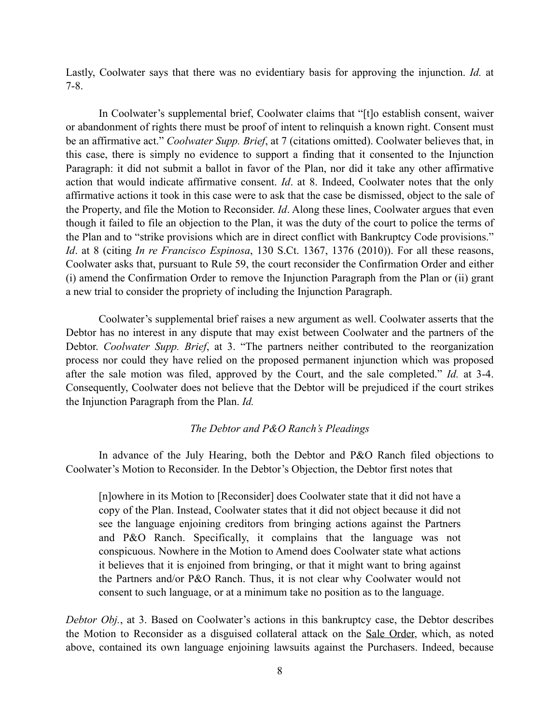Lastly, Coolwater says that there was no evidentiary basis for approving the injunction. *Id.* at 7-8.

 In Coolwater's supplemental brief, Coolwater claims that "[t]o establish consent, waiver or abandonment of rights there must be proof of intent to relinquish a known right. Consent must be an affirmative act." *Coolwater Supp. Brief*, at 7 (citations omitted). Coolwater believes that, in this case, there is simply no evidence to support a finding that it consented to the Injunction Paragraph: it did not submit a ballot in favor of the Plan, nor did it take any other affirmative action that would indicate affirmative consent. *Id*. at 8. Indeed, Coolwater notes that the only affirmative actions it took in this case were to ask that the case be dismissed, object to the sale of the Property, and file the Motion to Reconsider. *Id*. Along these lines, Coolwater argues that even though it failed to file an objection to the Plan, it was the duty of the court to police the terms of the Plan and to "strike provisions which are in direct conflict with Bankruptcy Code provisions." *Id*. at 8 (citing *In re Francisco Espinosa*, 130 S.Ct. 1367, 1376 (2010)). For all these reasons, Coolwater asks that, pursuant to Rule 59, the court reconsider the Confirmation Order and either (i) amend the Confirmation Order to remove the Injunction Paragraph from the Plan or (ii) grant a new trial to consider the propriety of including the Injunction Paragraph.

 Coolwater's supplemental brief raises a new argument as well. Coolwater asserts that the Debtor has no interest in any dispute that may exist between Coolwater and the partners of the Debtor. *Coolwater Supp. Brief*, at 3. "The partners neither contributed to the reorganization process nor could they have relied on the proposed permanent injunction which was proposed after the sale motion was filed, approved by the Court, and the sale completed." *Id.* at 3-4. Consequently, Coolwater does not believe that the Debtor will be prejudiced if the court strikes the Injunction Paragraph from the Plan. *Id.*

# *The Debtor and P&O Ranch's Pleadings*

 In advance of the July Hearing, both the Debtor and P&O Ranch filed objections to Coolwater's Motion to Reconsider. In the Debtor's Objection, the Debtor first notes that

[n]owhere in its Motion to [Reconsider] does Coolwater state that it did not have a copy of the Plan. Instead, Coolwater states that it did not object because it did not see the language enjoining creditors from bringing actions against the Partners and P&O Ranch. Specifically, it complains that the language was not conspicuous. Nowhere in the Motion to Amend does Coolwater state what actions it believes that it is enjoined from bringing, or that it might want to bring against the Partners and/or P&O Ranch. Thus, it is not clear why Coolwater would not consent to such language, or at a minimum take no position as to the language.

*Debtor Obj.*, at 3. Based on Coolwater's actions in this bankruptcy case, the Debtor describes the Motion to Reconsider as a disguised collateral attack on the Sale Order, which, as noted above, contained its own language enjoining lawsuits against the Purchasers. Indeed, because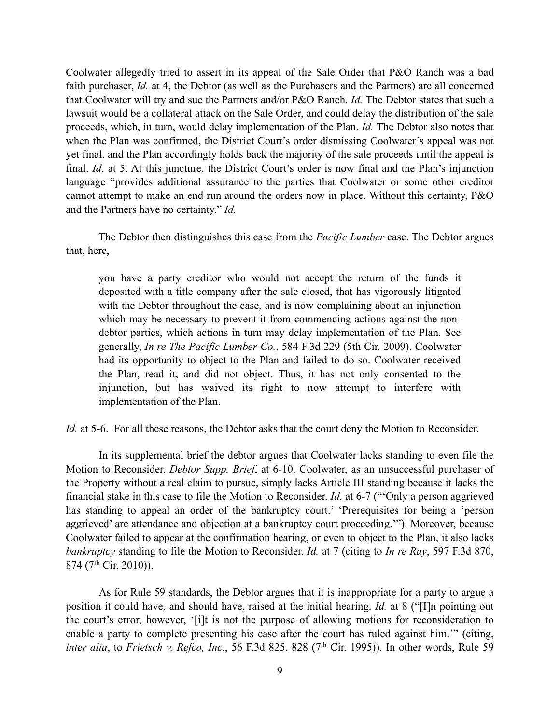Coolwater allegedly tried to assert in its appeal of the Sale Order that P&O Ranch was a bad faith purchaser, *Id.* at 4, the Debtor (as well as the Purchasers and the Partners) are all concerned that Coolwater will try and sue the Partners and/or P&O Ranch. *Id.* The Debtor states that such a lawsuit would be a collateral attack on the Sale Order, and could delay the distribution of the sale proceeds, which, in turn, would delay implementation of the Plan. *Id.* The Debtor also notes that when the Plan was confirmed, the District Court's order dismissing Coolwater's appeal was not yet final, and the Plan accordingly holds back the majority of the sale proceeds until the appeal is final. *Id.* at 5. At this juncture, the District Court's order is now final and the Plan's injunction language "provides additional assurance to the parties that Coolwater or some other creditor cannot attempt to make an end run around the orders now in place. Without this certainty, P&O and the Partners have no certainty." *Id.*

 The Debtor then distinguishes this case from the *Pacific Lumber* case. The Debtor argues that, here,

you have a party creditor who would not accept the return of the funds it deposited with a title company after the sale closed, that has vigorously litigated with the Debtor throughout the case, and is now complaining about an injunction which may be necessary to prevent it from commencing actions against the nondebtor parties, which actions in turn may delay implementation of the Plan. See generally, *In re The Pacific Lumber Co.*, 584 F.3d 229 (5th Cir. 2009). Coolwater had its opportunity to object to the Plan and failed to do so. Coolwater received the Plan, read it, and did not object. Thus, it has not only consented to the injunction, but has waived its right to now attempt to interfere with implementation of the Plan.

*Id.* at 5-6. For all these reasons, the Debtor asks that the court deny the Motion to Reconsider.

 In its supplemental brief the debtor argues that Coolwater lacks standing to even file the Motion to Reconsider. *Debtor Supp. Brief*, at 6-10. Coolwater, as an unsuccessful purchaser of the Property without a real claim to pursue, simply lacks Article III standing because it lacks the financial stake in this case to file the Motion to Reconsider. *Id.* at 6-7 ("'Only a person aggrieved has standing to appeal an order of the bankruptcy court.' 'Prerequisites for being a 'person aggrieved' are attendance and objection at a bankruptcy court proceeding.'"). Moreover, because Coolwater failed to appear at the confirmation hearing, or even to object to the Plan, it also lacks *bankruptcy* standing to file the Motion to Reconsider. *Id.* at 7 (citing to *In re Ray*, 597 F.3d 870, 874 (7th Cir. 2010)).

As for Rule 59 standards, the Debtor argues that it is inappropriate for a party to argue a position it could have, and should have, raised at the initial hearing. *Id.* at 8 ("[I]n pointing out the court's error, however, '[i]t is not the purpose of allowing motions for reconsideration to enable a party to complete presenting his case after the court has ruled against him.'" (citing, *inter alia*, to *Frietsch v. Refco, Inc.*, 56 F.3d 825, 828 (7<sup>th</sup> Cir. 1995)). In other words, Rule 59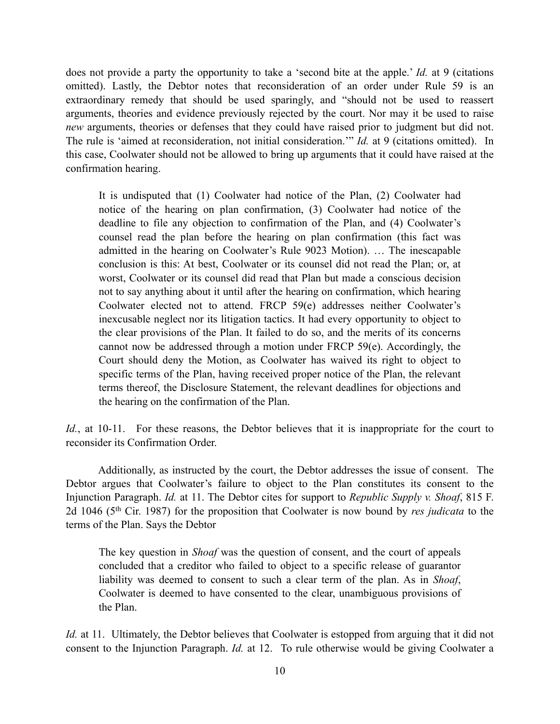does not provide a party the opportunity to take a 'second bite at the apple.' *Id.* at 9 (citations omitted). Lastly, the Debtor notes that reconsideration of an order under Rule 59 is an extraordinary remedy that should be used sparingly, and "should not be used to reassert arguments, theories and evidence previously rejected by the court. Nor may it be used to raise *new* arguments, theories or defenses that they could have raised prior to judgment but did not. The rule is 'aimed at reconsideration, not initial consideration.'" *Id.* at 9 (citations omitted). In this case, Coolwater should not be allowed to bring up arguments that it could have raised at the confirmation hearing.

It is undisputed that (1) Coolwater had notice of the Plan, (2) Coolwater had notice of the hearing on plan confirmation, (3) Coolwater had notice of the deadline to file any objection to confirmation of the Plan, and (4) Coolwater's counsel read the plan before the hearing on plan confirmation (this fact was admitted in the hearing on Coolwater's Rule 9023 Motion). … The inescapable conclusion is this: At best, Coolwater or its counsel did not read the Plan; or, at worst, Coolwater or its counsel did read that Plan but made a conscious decision not to say anything about it until after the hearing on confirmation, which hearing Coolwater elected not to attend. FRCP 59(e) addresses neither Coolwater's inexcusable neglect nor its litigation tactics. It had every opportunity to object to the clear provisions of the Plan. It failed to do so, and the merits of its concerns cannot now be addressed through a motion under FRCP 59(e). Accordingly, the Court should deny the Motion, as Coolwater has waived its right to object to specific terms of the Plan, having received proper notice of the Plan, the relevant terms thereof, the Disclosure Statement, the relevant deadlines for objections and the hearing on the confirmation of the Plan.

*Id.*, at 10-11. For these reasons, the Debtor believes that it is inappropriate for the court to reconsider its Confirmation Order.

 Additionally, as instructed by the court, the Debtor addresses the issue of consent. The Debtor argues that Coolwater's failure to object to the Plan constitutes its consent to the Injunction Paragraph. *Id.* at 11. The Debtor cites for support to *Republic Supply v. Shoaf*, 815 F. 2d 1046 (5th Cir. 1987) for the proposition that Coolwater is now bound by *res judicata* to the terms of the Plan. Says the Debtor

The key question in *Shoaf* was the question of consent, and the court of appeals concluded that a creditor who failed to object to a specific release of guarantor liability was deemed to consent to such a clear term of the plan. As in *Shoaf*, Coolwater is deemed to have consented to the clear, unambiguous provisions of the Plan.

*Id.* at 11. Ultimately, the Debtor believes that Coolwater is estopped from arguing that it did not consent to the Injunction Paragraph. *Id.* at 12. To rule otherwise would be giving Coolwater a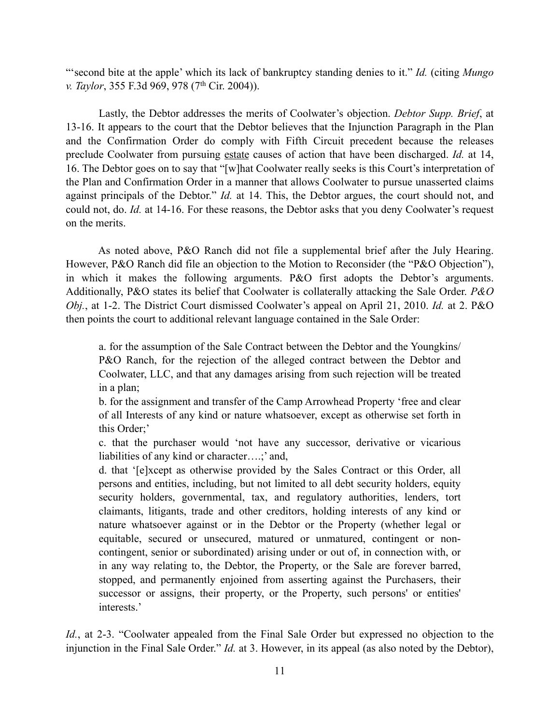"'second bite at the apple' which its lack of bankruptcy standing denies to it." *Id.* (citing *Mungo v. Taylor*, 355 F.3d 969, 978 (7<sup>th</sup> Cir. 2004)).

 Lastly, the Debtor addresses the merits of Coolwater's objection. *Debtor Supp. Brief*, at 13-16. It appears to the court that the Debtor believes that the Injunction Paragraph in the Plan and the Confirmation Order do comply with Fifth Circuit precedent because the releases preclude Coolwater from pursuing estate causes of action that have been discharged. *Id.* at 14, 16. The Debtor goes on to say that "[w]hat Coolwater really seeks is this Court's interpretation of the Plan and Confirmation Order in a manner that allows Coolwater to pursue unasserted claims against principals of the Debtor." *Id.* at 14. This, the Debtor argues, the court should not, and could not, do. *Id.* at 14-16. For these reasons, the Debtor asks that you deny Coolwater's request on the merits.

 As noted above, P&O Ranch did not file a supplemental brief after the July Hearing. However, P&O Ranch did file an objection to the Motion to Reconsider (the "P&O Objection"), in which it makes the following arguments. P&O first adopts the Debtor's arguments. Additionally, P&O states its belief that Coolwater is collaterally attacking the Sale Order. *P&O Obj.*, at 1-2. The District Court dismissed Coolwater's appeal on April 21, 2010. *Id.* at 2. P&O then points the court to additional relevant language contained in the Sale Order:

a. for the assumption of the Sale Contract between the Debtor and the Youngkins/ P&O Ranch, for the rejection of the alleged contract between the Debtor and Coolwater, LLC, and that any damages arising from such rejection will be treated in a plan;

b. for the assignment and transfer of the Camp Arrowhead Property 'free and clear of all Interests of any kind or nature whatsoever, except as otherwise set forth in this Order;'

c. that the purchaser would 'not have any successor, derivative or vicarious liabilities of any kind or character….;' and,

d. that '[e]xcept as otherwise provided by the Sales Contract or this Order, all persons and entities, including, but not limited to all debt security holders, equity security holders, governmental, tax, and regulatory authorities, lenders, tort claimants, litigants, trade and other creditors, holding interests of any kind or nature whatsoever against or in the Debtor or the Property (whether legal or equitable, secured or unsecured, matured or unmatured, contingent or noncontingent, senior or subordinated) arising under or out of, in connection with, or in any way relating to, the Debtor, the Property, or the Sale are forever barred, stopped, and permanently enjoined from asserting against the Purchasers, their successor or assigns, their property, or the Property, such persons' or entities' interests.'

*Id.*, at 2-3. "Coolwater appealed from the Final Sale Order but expressed no objection to the injunction in the Final Sale Order." *Id.* at 3. However, in its appeal (as also noted by the Debtor),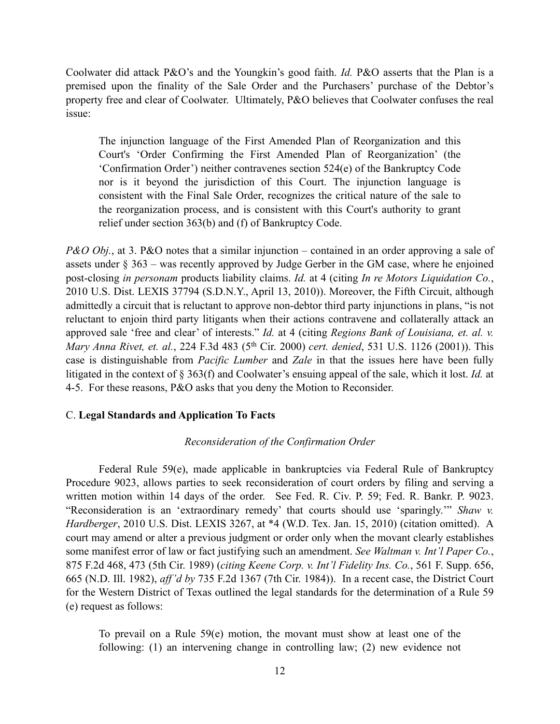Coolwater did attack P&O's and the Youngkin's good faith. *Id.* P&O asserts that the Plan is a premised upon the finality of the Sale Order and the Purchasers' purchase of the Debtor's property free and clear of Coolwater. Ultimately, P&O believes that Coolwater confuses the real issue:

The injunction language of the First Amended Plan of Reorganization and this Court's 'Order Confirming the First Amended Plan of Reorganization' (the 'Confirmation Order') neither contravenes section 524(e) of the Bankruptcy Code nor is it beyond the jurisdiction of this Court. The injunction language is consistent with the Final Sale Order, recognizes the critical nature of the sale to the reorganization process, and is consistent with this Court's authority to grant relief under section 363(b) and (f) of Bankruptcy Code.

*P&O Obj.*, at 3. P&O notes that a similar injunction – contained in an order approving a sale of assets under § 363 – was recently approved by Judge Gerber in the GM case, where he enjoined post-closing *in personam* products liability claims. *Id.* at 4 (citing *In re Motors Liquidation Co.*, 2010 U.S. Dist. LEXIS 37794 (S.D.N.Y., April 13, 2010)). Moreover, the Fifth Circuit, although admittedly a circuit that is reluctant to approve non-debtor third party injunctions in plans, "is not reluctant to enjoin third party litigants when their actions contravene and collaterally attack an approved sale 'free and clear' of interests." *Id.* at 4 (citing *Regions Bank of Louisiana, et. al. v. Mary Anna Rivet, et. al.*, 224 F.3d 483 (5th Cir. 2000) *cert. denied*, 531 U.S. 1126 (2001)). This case is distinguishable from *Pacific Lumber* and *Zale* in that the issues here have been fully litigated in the context of § 363(f) and Coolwater's ensuing appeal of the sale, which it lost. *Id.* at 4-5. For these reasons, P&O asks that you deny the Motion to Reconsider.

# C. **Legal Standards and Application To Facts**

#### *Reconsideration of the Confirmation Order*

 Federal Rule 59(e), made applicable in bankruptcies via Federal Rule of Bankruptcy Procedure 9023, allows parties to seek reconsideration of court orders by filing and serving a written motion within 14 days of the order. See Fed. R. Civ. P. 59; Fed. R. Bankr. P. 9023. "Reconsideration is an 'extraordinary remedy' that courts should use 'sparingly.'" *Shaw v. Hardberger*, 2010 U.S. Dist. LEXIS 3267, at \*4 (W.D. Tex. Jan. 15, 2010) (citation omitted). A court may amend or alter a previous judgment or order only when the movant clearly establishes some manifest error of law or fact justifying such an amendment. *See Waltman v. Int'l Paper Co.*, 875 F.2d 468, 473 (5th Cir. 1989) (*citing Keene Corp. v. Int'l Fidelity Ins. Co.*, 561 F. Supp. 656, 665 (N.D. Ill. 1982), *aff'd by* 735 F.2d 1367 (7th Cir. 1984)). In a recent case, the District Court for the Western District of Texas outlined the legal standards for the determination of a Rule 59 (e) request as follows:

To prevail on a Rule 59(e) motion, the movant must show at least one of the following: (1) an intervening change in controlling law; (2) new evidence not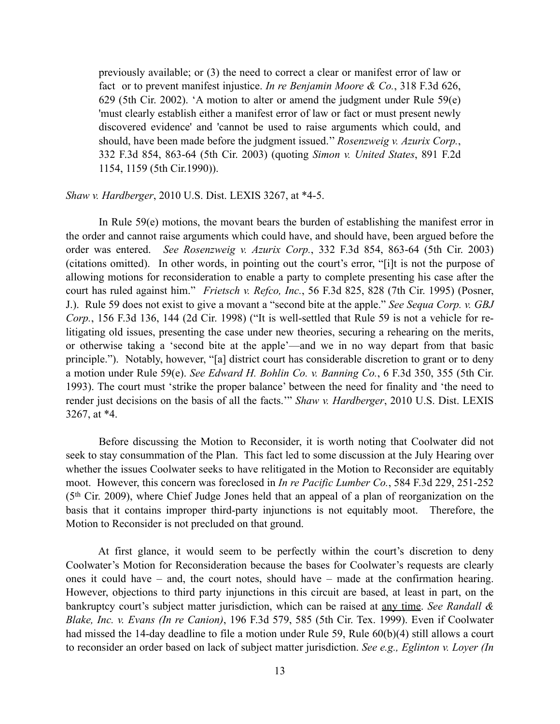previously available; or (3) the need to correct a clear or manifest error of law or fact or to prevent manifest injustice. *In re Benjamin Moore & Co.*, 318 F.3d 626, 629 (5th Cir. 2002). 'A motion to alter or amend the judgment under Rule 59(e) 'must clearly establish either a manifest error of law or fact or must present newly discovered evidence' and 'cannot be used to raise arguments which could, and should, have been made before the judgment issued.'' *Rosenzweig v. Azurix Corp.*, 332 F.3d 854, 863-64 (5th Cir. 2003) (quoting *Simon v. United States*, 891 F.2d 1154, 1159 (5th Cir.1990)).

### *Shaw v. Hardberger*, 2010 U.S. Dist. LEXIS 3267, at \*4-5.

In Rule 59(e) motions, the movant bears the burden of establishing the manifest error in the order and cannot raise arguments which could have, and should have, been argued before the order was entered. *See Rosenzweig v. Azurix Corp.*, 332 F.3d 854, 863-64 (5th Cir. 2003) (citations omitted). In other words, in pointing out the court's error, "[i]t is not the purpose of allowing motions for reconsideration to enable a party to complete presenting his case after the court has ruled against him." *Frietsch v. Refco, Inc.*, 56 F.3d 825, 828 (7th Cir. 1995) (Posner, J.). Rule 59 does not exist to give a movant a "second bite at the apple." *See Sequa Corp. v. GBJ Corp.*, 156 F.3d 136, 144 (2d Cir. 1998) ("It is well-settled that Rule 59 is not a vehicle for relitigating old issues, presenting the case under new theories, securing a rehearing on the merits, or otherwise taking a 'second bite at the apple'—and we in no way depart from that basic principle."). Notably, however, "[a] district court has considerable discretion to grant or to deny a motion under Rule 59(e). *See Edward H. Bohlin Co. v. Banning Co.*, 6 F.3d 350, 355 (5th Cir. 1993). The court must 'strike the proper balance' between the need for finality and 'the need to render just decisions on the basis of all the facts.'" *Shaw v. Hardberger*, 2010 U.S. Dist. LEXIS 3267, at \*4.

Before discussing the Motion to Reconsider, it is worth noting that Coolwater did not seek to stay consummation of the Plan. This fact led to some discussion at the July Hearing over whether the issues Coolwater seeks to have relitigated in the Motion to Reconsider are equitably moot. However, this concern was foreclosed in *In re Pacific Lumber Co.*, 584 F.3d 229, 251-252 (5th Cir. 2009), where Chief Judge Jones held that an appeal of a plan of reorganization on the basis that it contains improper third-party injunctions is not equitably moot. Therefore, the Motion to Reconsider is not precluded on that ground.

 At first glance, it would seem to be perfectly within the court's discretion to deny Coolwater's Motion for Reconsideration because the bases for Coolwater's requests are clearly ones it could have – and, the court notes, should have – made at the confirmation hearing. However, objections to third party injunctions in this circuit are based, at least in part, on the bankruptcy court's subject matter jurisdiction, which can be raised at any time. *See Randall & Blake, Inc. v. Evans (In re Canion)*, 196 F.3d 579, 585 (5th Cir. Tex. 1999). Even if Coolwater had missed the 14-day deadline to file a motion under Rule 59, Rule 60(b)(4) still allows a court to reconsider an order based on lack of subject matter jurisdiction. *See e.g., Eglinton v. Loyer (In*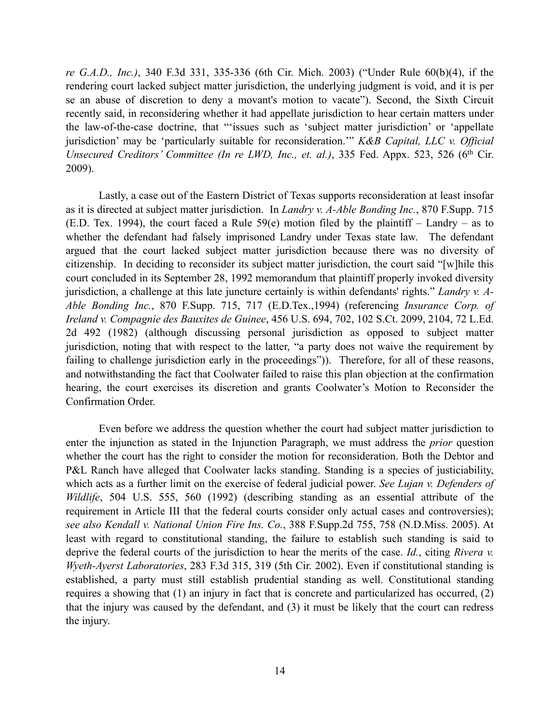*re G.A.D., Inc.)*, 340 F.3d 331, 335-336 (6th Cir. Mich. 2003) ("Under Rule 60(b)(4), if the rendering court lacked subject matter jurisdiction, the underlying judgment is void, and it is per se an abuse of discretion to deny a movant's motion to vacate"). Second, the Sixth Circuit recently said, in reconsidering whether it had appellate jurisdiction to hear certain matters under the law-of-the-case doctrine, that "'issues such as 'subject matter jurisdiction' or 'appellate jurisdiction' may be 'particularly suitable for reconsideration.'" *K&B Capital, LLC v. Official Unsecured Creditors' Committee (In re LWD, Inc., et. al.)*, 335 Fed. Appx. 523, 526 (6<sup>th</sup> Cir. 2009).

Lastly, a case out of the Eastern District of Texas supports reconsideration at least insofar as it is directed at subject matter jurisdiction. In *Landry v. A-Able Bonding Inc.*, 870 F.Supp. 715 (E.D. Tex. 1994), the court faced a Rule  $59(e)$  motion filed by the plaintiff – Landry – as to whether the defendant had falsely imprisoned Landry under Texas state law. The defendant argued that the court lacked subject matter jurisdiction because there was no diversity of citizenship. In deciding to reconsider its subject matter jurisdiction, the court said "[w]hile this court concluded in its September 28, 1992 memorandum that plaintiff properly invoked diversity jurisdiction, a challenge at this late juncture certainly is within defendants' rights." *Landry v. A-Able Bonding Inc.*, 870 F.Supp. 715, 717 (E.D.Tex.,1994) (referencing *Insurance Corp. of Ireland v. Compagnie des Bauxites de Guinee*, 456 U.S. 694, 702, 102 S.Ct. 2099, 2104, 72 L.Ed. 2d 492 (1982) (although discussing personal jurisdiction as opposed to subject matter jurisdiction, noting that with respect to the latter, "a party does not waive the requirement by failing to challenge jurisdiction early in the proceedings")). Therefore, for all of these reasons, and notwithstanding the fact that Coolwater failed to raise this plan objection at the confirmation hearing, the court exercises its discretion and grants Coolwater's Motion to Reconsider the Confirmation Order.

Even before we address the question whether the court had subject matter jurisdiction to enter the injunction as stated in the Injunction Paragraph, we must address the *prior* question whether the court has the right to consider the motion for reconsideration. Both the Debtor and P&L Ranch have alleged that Coolwater lacks standing. Standing is a species of justiciability, which acts as a further limit on the exercise of federal judicial power. *See Lujan v. Defenders of Wildlife*, 504 U.S. 555, 560 (1992) (describing standing as an essential attribute of the requirement in Article III that the federal courts consider only actual cases and controversies); *see also Kendall v. National Union Fire Ins. Co.*, 388 F.Supp.2d 755, 758 (N.D.Miss. 2005). At least with regard to constitutional standing, the failure to establish such standing is said to deprive the federal courts of the jurisdiction to hear the merits of the case. *Id.*, citing *Rivera v. Wyeth-Ayerst Laboratories*, 283 F.3d 315, 319 (5th Cir. 2002). Even if constitutional standing is established, a party must still establish prudential standing as well. Constitutional standing requires a showing that (1) an injury in fact that is concrete and particularized has occurred, (2) that the injury was caused by the defendant, and (3) it must be likely that the court can redress the injury.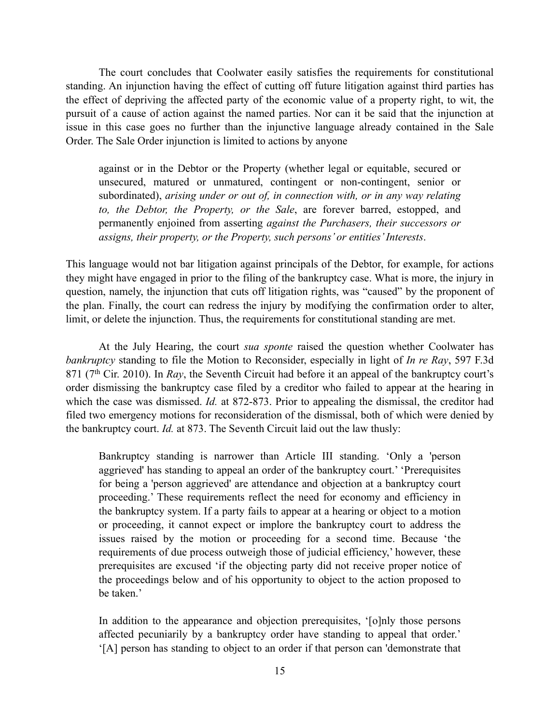The court concludes that Coolwater easily satisfies the requirements for constitutional standing. An injunction having the effect of cutting off future litigation against third parties has the effect of depriving the affected party of the economic value of a property right, to wit, the pursuit of a cause of action against the named parties. Nor can it be said that the injunction at issue in this case goes no further than the injunctive language already contained in the Sale Order. The Sale Order injunction is limited to actions by anyone

against or in the Debtor or the Property (whether legal or equitable, secured or unsecured, matured or unmatured, contingent or non-contingent, senior or subordinated), *arising under or out of, in connection with, or in any way relating to, the Debtor, the Property, or the Sale*, are forever barred, estopped, and permanently enjoined from asserting *against the Purchasers, their successors or assigns, their property, or the Property, such persons' or entities' Interests*.

This language would not bar litigation against principals of the Debtor, for example, for actions they might have engaged in prior to the filing of the bankruptcy case. What is more, the injury in question, namely, the injunction that cuts off litigation rights, was "caused" by the proponent of the plan. Finally, the court can redress the injury by modifying the confirmation order to alter, limit, or delete the injunction. Thus, the requirements for constitutional standing are met.

At the July Hearing, the court *sua sponte* raised the question whether Coolwater has *bankruptcy* standing to file the Motion to Reconsider, especially in light of *In re Ray*, 597 F.3d 871 (7th Cir. 2010). In *Ray*, the Seventh Circuit had before it an appeal of the bankruptcy court's order dismissing the bankruptcy case filed by a creditor who failed to appear at the hearing in which the case was dismissed. *Id.* at 872-873. Prior to appealing the dismissal, the creditor had filed two emergency motions for reconsideration of the dismissal, both of which were denied by the bankruptcy court. *Id.* at 873. The Seventh Circuit laid out the law thusly:

Bankruptcy standing is narrower than Article III standing. 'Only a 'person aggrieved' has standing to appeal an order of the bankruptcy court.' 'Prerequisites for being a 'person aggrieved' are attendance and objection at a bankruptcy court proceeding.' These requirements reflect the need for economy and efficiency in the bankruptcy system. If a party fails to appear at a hearing or object to a motion or proceeding, it cannot expect or implore the bankruptcy court to address the issues raised by the motion or proceeding for a second time. Because 'the requirements of due process outweigh those of judicial efficiency,' however, these prerequisites are excused 'if the objecting party did not receive proper notice of the proceedings below and of his opportunity to object to the action proposed to be taken.'

In addition to the appearance and objection prerequisites, '[o]nly those persons affected pecuniarily by a bankruptcy order have standing to appeal that order.' '[A] person has standing to object to an order if that person can 'demonstrate that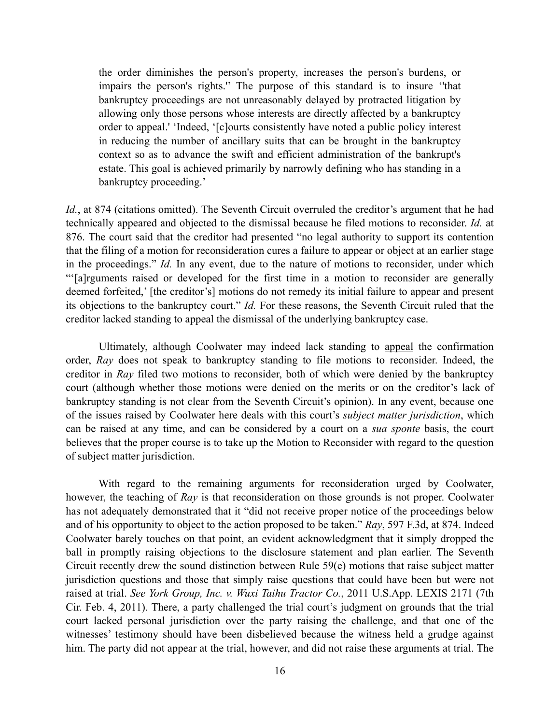the order diminishes the person's property, increases the person's burdens, or impairs the person's rights.'' The purpose of this standard is to insure ''that bankruptcy proceedings are not unreasonably delayed by protracted litigation by allowing only those persons whose interests are directly affected by a bankruptcy order to appeal.' 'Indeed, '[c]ourts consistently have noted a public policy interest in reducing the number of ancillary suits that can be brought in the bankruptcy context so as to advance the swift and efficient administration of the bankrupt's estate. This goal is achieved primarily by narrowly defining who has standing in a bankruptcy proceeding.'

*Id.*, at 874 (citations omitted). The Seventh Circuit overruled the creditor's argument that he had technically appeared and objected to the dismissal because he filed motions to reconsider. *Id.* at 876. The court said that the creditor had presented "no legal authority to support its contention that the filing of a motion for reconsideration cures a failure to appear or object at an earlier stage in the proceedings." *Id.* In any event, due to the nature of motions to reconsider, under which "'[a]rguments raised or developed for the first time in a motion to reconsider are generally deemed forfeited,' [the creditor's] motions do not remedy its initial failure to appear and present its objections to the bankruptcy court." *Id.* For these reasons, the Seventh Circuit ruled that the creditor lacked standing to appeal the dismissal of the underlying bankruptcy case.

 Ultimately, although Coolwater may indeed lack standing to appeal the confirmation order, *Ray* does not speak to bankruptcy standing to file motions to reconsider. Indeed, the creditor in *Ray* filed two motions to reconsider, both of which were denied by the bankruptcy court (although whether those motions were denied on the merits or on the creditor's lack of bankruptcy standing is not clear from the Seventh Circuit's opinion). In any event, because one of the issues raised by Coolwater here deals with this court's *subject matter jurisdiction*, which can be raised at any time, and can be considered by a court on a *sua sponte* basis, the court believes that the proper course is to take up the Motion to Reconsider with regard to the question of subject matter jurisdiction.

 With regard to the remaining arguments for reconsideration urged by Coolwater, however, the teaching of *Ray* is that reconsideration on those grounds is not proper. Coolwater has not adequately demonstrated that it "did not receive proper notice of the proceedings below and of his opportunity to object to the action proposed to be taken." *Ray*, 597 F.3d, at 874. Indeed Coolwater barely touches on that point, an evident acknowledgment that it simply dropped the ball in promptly raising objections to the disclosure statement and plan earlier. The Seventh Circuit recently drew the sound distinction between Rule 59(e) motions that raise subject matter jurisdiction questions and those that simply raise questions that could have been but were not raised at trial. *See York Group, Inc. v. Wuxi Taihu Tractor Co.*, 2011 U.S.App. LEXIS 2171 (7th Cir. Feb. 4, 2011). There, a party challenged the trial court's judgment on grounds that the trial court lacked personal jurisdiction over the party raising the challenge, and that one of the witnesses' testimony should have been disbelieved because the witness held a grudge against him. The party did not appear at the trial, however, and did not raise these arguments at trial. The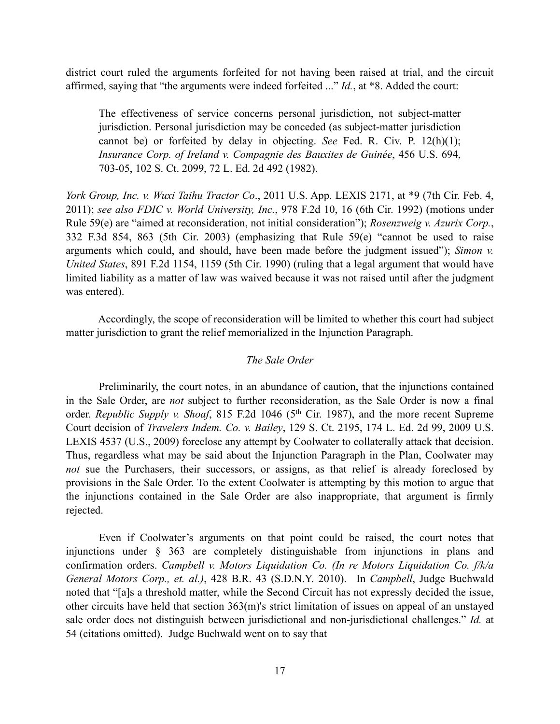district court ruled the arguments forfeited for not having been raised at trial, and the circuit affirmed, saying that "the arguments were indeed forfeited ..." *Id.*, at \*8. Added the court:

The effectiveness of service concerns personal jurisdiction, not subject-matter jurisdiction. Personal jurisdiction may be conceded (as subject-matter jurisdiction cannot be) or forfeited by delay in objecting. *See* Fed. R. Civ. P. 12(h)(1); *Insurance Corp. of Ireland v. Compagnie des Bauxites de Guinée*, 456 U.S. 694, 703-05, 102 S. Ct. 2099, 72 L. Ed. 2d 492 (1982).

*York Group, Inc. v. Wuxi Taihu Tractor Co*., 2011 U.S. App. LEXIS 2171, at \*9 (7th Cir. Feb. 4, 2011); *see also FDIC v. World University, Inc.*, 978 F.2d 10, 16 (6th Cir. 1992) (motions under Rule 59(e) are "aimed at reconsideration, not initial consideration"); *Rosenzweig v. Azurix Corp.*, 332 F.3d 854, 863 (5th Cir. 2003) (emphasizing that Rule 59(e) "cannot be used to raise arguments which could, and should, have been made before the judgment issued"); *Simon v. United States*, 891 F.2d 1154, 1159 (5th Cir. 1990) (ruling that a legal argument that would have limited liability as a matter of law was waived because it was not raised until after the judgment was entered).

 Accordingly, the scope of reconsideration will be limited to whether this court had subject matter jurisdiction to grant the relief memorialized in the Injunction Paragraph.

# *The Sale Order*

 Preliminarily, the court notes, in an abundance of caution, that the injunctions contained in the Sale Order, are *not* subject to further reconsideration, as the Sale Order is now a final order. *Republic Supply v. Shoaf*, 815 F.2d 1046 (5th Cir. 1987), and the more recent Supreme Court decision of *Travelers Indem. Co. v. Bailey*, 129 S. Ct. 2195, 174 L. Ed. 2d 99, 2009 U.S. LEXIS 4537 (U.S., 2009) foreclose any attempt by Coolwater to collaterally attack that decision. Thus, regardless what may be said about the Injunction Paragraph in the Plan, Coolwater may *not* sue the Purchasers, their successors, or assigns, as that relief is already foreclosed by provisions in the Sale Order. To the extent Coolwater is attempting by this motion to argue that the injunctions contained in the Sale Order are also inappropriate, that argument is firmly rejected.

 Even if Coolwater's arguments on that point could be raised, the court notes that injunctions under § 363 are completely distinguishable from injunctions in plans and confirmation orders. *Campbell v. Motors Liquidation Co. (In re Motors Liquidation Co. f/k/a General Motors Corp., et. al.)*, 428 B.R. 43 (S.D.N.Y. 2010). In *Campbell*, Judge Buchwald noted that "[a]s a threshold matter, while the Second Circuit has not expressly decided the issue, other circuits have held that section 363(m)'s strict limitation of issues on appeal of an unstayed sale order does not distinguish between jurisdictional and non-jurisdictional challenges." *Id.* at 54 (citations omitted). Judge Buchwald went on to say that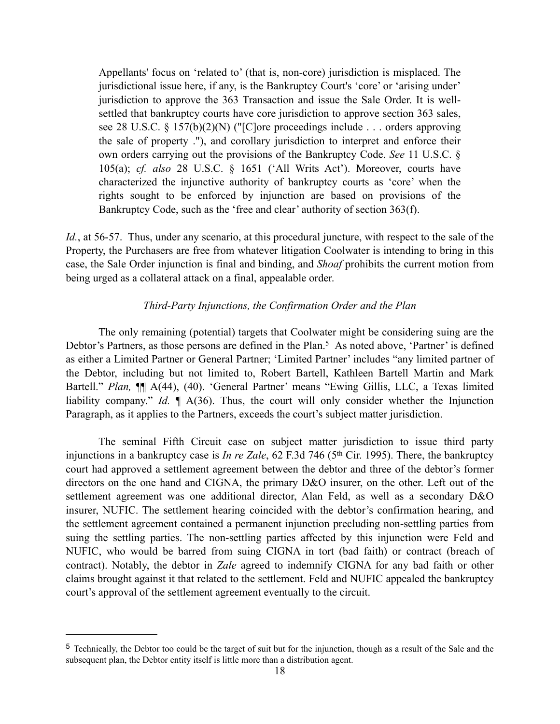Appellants' focus on 'related to' (that is, non-core) jurisdiction is misplaced. The jurisdictional issue here, if any, is the Bankruptcy Court's 'core' or 'arising under' jurisdiction to approve the 363 Transaction and issue the Sale Order. It is wellsettled that bankruptcy courts have core jurisdiction to approve section 363 sales, see 28 U.S.C. § 157(b)(2)(N) ("[C]ore proceedings include . . . orders approving the sale of property ."), and corollary jurisdiction to interpret and enforce their own orders carrying out the provisions of the Bankruptcy Code. *See* 11 U.S.C. § 105(a); *cf. also* 28 U.S.C. § 1651 ('All Writs Act'). Moreover, courts have characterized the injunctive authority of bankruptcy courts as 'core' when the rights sought to be enforced by injunction are based on provisions of the Bankruptcy Code, such as the 'free and clear' authority of section 363(f).

*Id.*, at 56-57. Thus, under any scenario, at this procedural juncture, with respect to the sale of the Property, the Purchasers are free from whatever litigation Coolwater is intending to bring in this case, the Sale Order injunction is final and binding, and *Shoaf* prohibits the current motion from being urged as a collateral attack on a final, appealable order.

# *Third-Party Injunctions, the Confirmation Order and the Plan*

 The only remaining (potential) targets that Coolwater might be considering suing are the Debtor's Partners, as those persons are defined in the Plan.<sup>[5](#page-17-0)</sup> As noted above, 'Partner' is defined as either a Limited Partner or General Partner; 'Limited Partner' includes "any limited partner of the Debtor, including but not limited to, Robert Bartell, Kathleen Bartell Martin and Mark Bartell." *Plan,* ¶¶ A(44), (40). 'General Partner' means "Ewing Gillis, LLC, a Texas limited liability company." *Id.* ¶ A(36). Thus, the court will only consider whether the Injunction Paragraph, as it applies to the Partners, exceeds the court's subject matter jurisdiction.

 The seminal Fifth Circuit case on subject matter jurisdiction to issue third party injunctions in a bankruptcy case is *In re Zale*, 62 F.3d 746 (5<sup>th</sup> Cir. 1995). There, the bankruptcy court had approved a settlement agreement between the debtor and three of the debtor's former directors on the one hand and CIGNA, the primary D&O insurer, on the other. Left out of the settlement agreement was one additional director, Alan Feld, as well as a secondary D&O insurer, NUFIC. The settlement hearing coincided with the debtor's confirmation hearing, and the settlement agreement contained a permanent injunction precluding non-settling parties from suing the settling parties. The non-settling parties affected by this injunction were Feld and NUFIC, who would be barred from suing CIGNA in tort (bad faith) or contract (breach of contract). Notably, the debtor in *Zale* agreed to indemnify CIGNA for any bad faith or other claims brought against it that related to the settlement. Feld and NUFIC appealed the bankruptcy court's approval of the settlement agreement eventually to the circuit.

<span id="page-17-0"></span><sup>5</sup> Technically, the Debtor too could be the target of suit but for the injunction, though as a result of the Sale and the subsequent plan, the Debtor entity itself is little more than a distribution agent.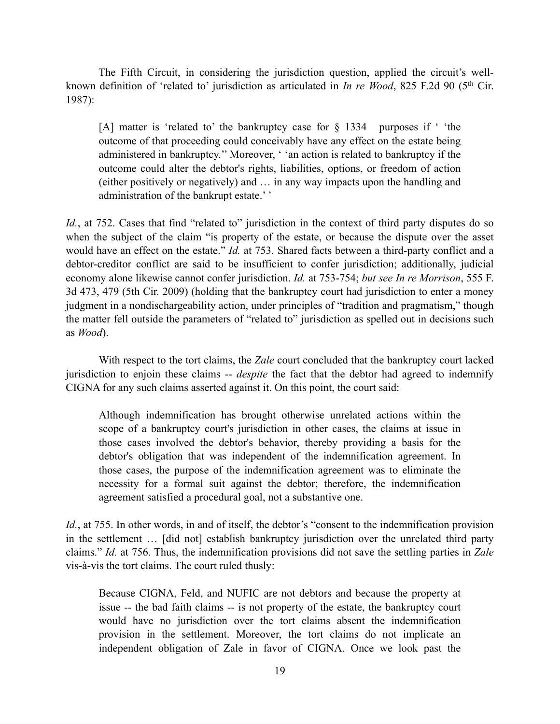The Fifth Circuit, in considering the jurisdiction question, applied the circuit's wellknown definition of 'related to' jurisdiction as articulated in *In re Wood*, 825 F.2d 90 (5<sup>th</sup> Cir. 1987):

[A] matter is 'related to' the bankruptcy case for § 1334 purposes if ' 'the outcome of that proceeding could conceivably have any effect on the estate being administered in bankruptcy.'' Moreover, ' 'an action is related to bankruptcy if the outcome could alter the debtor's rights, liabilities, options, or freedom of action (either positively or negatively) and … in any way impacts upon the handling and administration of the bankrupt estate.' '

*Id.*, at 752. Cases that find "related to" jurisdiction in the context of third party disputes do so when the subject of the claim "is property of the estate, or because the dispute over the asset would have an effect on the estate." *Id.* at 753. Shared facts between a third-party conflict and a debtor-creditor conflict are said to be insufficient to confer jurisdiction; additionally, judicial economy alone likewise cannot confer jurisdiction. *Id.* at 753-754; *but see In re Morrison*, 555 F. 3d 473, 479 (5th Cir. 2009) (holding that the bankruptcy court had jurisdiction to enter a money judgment in a nondischargeability action, under principles of "tradition and pragmatism," though the matter fell outside the parameters of "related to" jurisdiction as spelled out in decisions such as *Wood*).

With respect to the tort claims, the *Zale* court concluded that the bankruptcy court lacked jurisdiction to enjoin these claims -- *despite* the fact that the debtor had agreed to indemnify CIGNA for any such claims asserted against it. On this point, the court said:

Although indemnification has brought otherwise unrelated actions within the scope of a bankruptcy court's jurisdiction in other cases, the claims at issue in those cases involved the debtor's behavior, thereby providing a basis for the debtor's obligation that was independent of the indemnification agreement. In those cases, the purpose of the indemnification agreement was to eliminate the necessity for a formal suit against the debtor; therefore, the indemnification agreement satisfied a procedural goal, not a substantive one.

*Id.*, at 755. In other words, in and of itself, the debtor's "consent to the indemnification provision in the settlement … [did not] establish bankruptcy jurisdiction over the unrelated third party claims." *Id.* at 756. Thus, the indemnification provisions did not save the settling parties in *Zale* vis-à-vis the tort claims. The court ruled thusly:

Because CIGNA, Feld, and NUFIC are not debtors and because the property at issue -- the bad faith claims -- is not property of the estate, the bankruptcy court would have no jurisdiction over the tort claims absent the indemnification provision in the settlement. Moreover, the tort claims do not implicate an independent obligation of Zale in favor of CIGNA. Once we look past the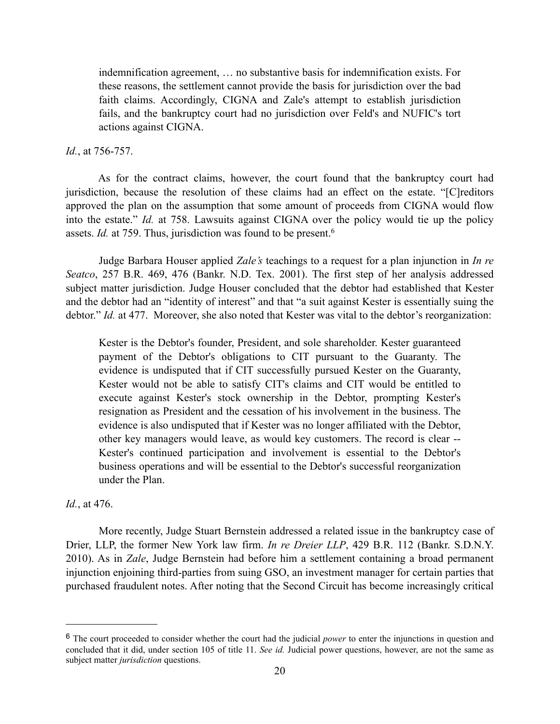indemnification agreement, … no substantive basis for indemnification exists. For these reasons, the settlement cannot provide the basis for jurisdiction over the bad faith claims. Accordingly, CIGNA and Zale's attempt to establish jurisdiction fails, and the bankruptcy court had no jurisdiction over Feld's and NUFIC's tort actions against CIGNA.

# *Id.*, at 756-757.

 As for the contract claims, however, the court found that the bankruptcy court had jurisdiction, because the resolution of these claims had an effect on the estate. "[C]reditors approved the plan on the assumption that some amount of proceeds from CIGNA would flow into the estate." *Id.* at 758. Lawsuits against CIGNA over the policy would tie up the policy assets. *Id.* at 759. Thus, jurisdiction was found to be present.<sup>6</sup>

Judge Barbara Houser applied *Zale's* teachings to a request for a plan injunction in *In re Seatco*, 257 B.R. 469, 476 (Bankr. N.D. Tex. 2001). The first step of her analysis addressed subject matter jurisdiction. Judge Houser concluded that the debtor had established that Kester and the debtor had an "identity of interest" and that "a suit against Kester is essentially suing the debtor." *Id.* at 477. Moreover, she also noted that Kester was vital to the debtor's reorganization:

Kester is the Debtor's founder, President, and sole shareholder. Kester guaranteed payment of the Debtor's obligations to CIT pursuant to the Guaranty. The evidence is undisputed that if CIT successfully pursued Kester on the Guaranty, Kester would not be able to satisfy CIT's claims and CIT would be entitled to execute against Kester's stock ownership in the Debtor, prompting Kester's resignation as President and the cessation of his involvement in the business. The evidence is also undisputed that if Kester was no longer affiliated with the Debtor, other key managers would leave, as would key customers. The record is clear -- Kester's continued participation and involvement is essential to the Debtor's business operations and will be essential to the Debtor's successful reorganization under the Plan.

# *Id.*, at 476.

More recently, Judge Stuart Bernstein addressed a related issue in the bankruptcy case of Drier, LLP, the former New York law firm. *In re Dreier LLP*, 429 B.R. 112 (Bankr. S.D.N.Y. 2010). As in *Zale*, Judge Bernstein had before him a settlement containing a broad permanent injunction enjoining third-parties from suing GSO, an investment manager for certain parties that purchased fraudulent notes. After noting that the Second Circuit has become increasingly critical

<span id="page-19-0"></span><sup>6</sup> The court proceeded to consider whether the court had the judicial *power* to enter the injunctions in question and concluded that it did, under section 105 of title 11. *See id.* Judicial power questions, however, are not the same as subject matter *jurisdiction* questions.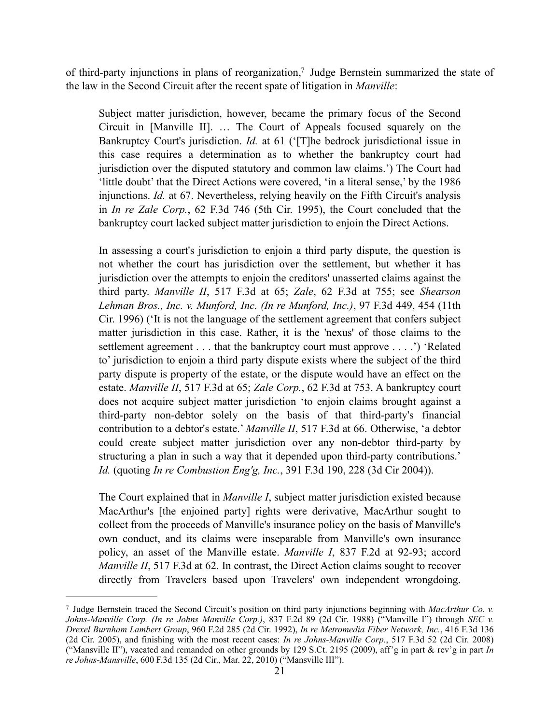of third-party injunctions in plans of reorganization,<sup>7</sup> Judge Bernstein summarized the state of the law in the Second Circuit after the recent spate of litigation in *Manville*:

Subject matter jurisdiction, however, became the primary focus of the Second Circuit in [Manville II]. … The Court of Appeals focused squarely on the Bankruptcy Court's jurisdiction. *Id.* at 61 ('[T]he bedrock jurisdictional issue in this case requires a determination as to whether the bankruptcy court had jurisdiction over the disputed statutory and common law claims.') The Court had 'little doubt' that the Direct Actions were covered, 'in a literal sense,' by the 1986 injunctions. *Id.* at 67. Nevertheless, relying heavily on the Fifth Circuit's analysis in *In re Zale Corp.*, 62 F.3d 746 (5th Cir. 1995), the Court concluded that the bankruptcy court lacked subject matter jurisdiction to enjoin the Direct Actions.

In assessing a court's jurisdiction to enjoin a third party dispute, the question is not whether the court has jurisdiction over the settlement, but whether it has jurisdiction over the attempts to enjoin the creditors' unasserted claims against the third party. *Manville II*, 517 F.3d at 65; *Zale*, 62 F.3d at 755; see *Shearson Lehman Bros., Inc. v. Munford, Inc. (In re Munford, Inc.)*, 97 F.3d 449, 454 (11th Cir. 1996) ('It is not the language of the settlement agreement that confers subject matter jurisdiction in this case. Rather, it is the 'nexus' of those claims to the settlement agreement . . . that the bankruptcy court must approve . . . .') 'Related to' jurisdiction to enjoin a third party dispute exists where the subject of the third party dispute is property of the estate, or the dispute would have an effect on the estate. *Manville II*, 517 F.3d at 65; *Zale Corp.*, 62 F.3d at 753. A bankruptcy court does not acquire subject matter jurisdiction 'to enjoin claims brought against a third-party non-debtor solely on the basis of that third-party's financial contribution to a debtor's estate.' *Manville II*, 517 F.3d at 66. Otherwise, 'a debtor could create subject matter jurisdiction over any non-debtor third-party by structuring a plan in such a way that it depended upon third-party contributions.' *Id.* (quoting *In re Combustion Eng'g, Inc.*, 391 F.3d 190, 228 (3d Cir 2004)).

The Court explained that in *Manville I*, subject matter jurisdiction existed because MacArthur's [the enjoined party] rights were derivative, MacArthur sought to collect from the proceeds of Manville's insurance policy on the basis of Manville's own conduct, and its claims were inseparable from Manville's own insurance policy, an asset of the Manville estate. *Manville I*, 837 F.2d at 92-93; accord *Manville II*, 517 F.3d at 62. In contrast, the Direct Action claims sought to recover directly from Travelers based upon Travelers' own independent wrongdoing.

<span id="page-20-0"></span><sup>7</sup> Judge Bernstein traced the Second Circuit's position on third party injunctions beginning with *MacArthur Co. v. Johns-Manville Corp. (In re Johns Manville Corp.)*, 837 F.2d 89 (2d Cir. 1988) ("Manville I") through *SEC v. Drexel Burnham Lambert Group*, 960 F.2d 285 (2d Cir. 1992), *In re Metromedia Fiber Network, Inc.*, 416 F.3d 136 (2d Cir. 2005), and finishing with the most recent cases: *In re Johns-Manville Corp.*, 517 F.3d 52 (2d Cir. 2008) ("Mansville II"), vacated and remanded on other grounds by 129 S.Ct. 2195 (2009), aff'g in part & rev'g in part *In re Johns-Mansville*, 600 F.3d 135 (2d Cir., Mar. 22, 2010) ("Mansville III").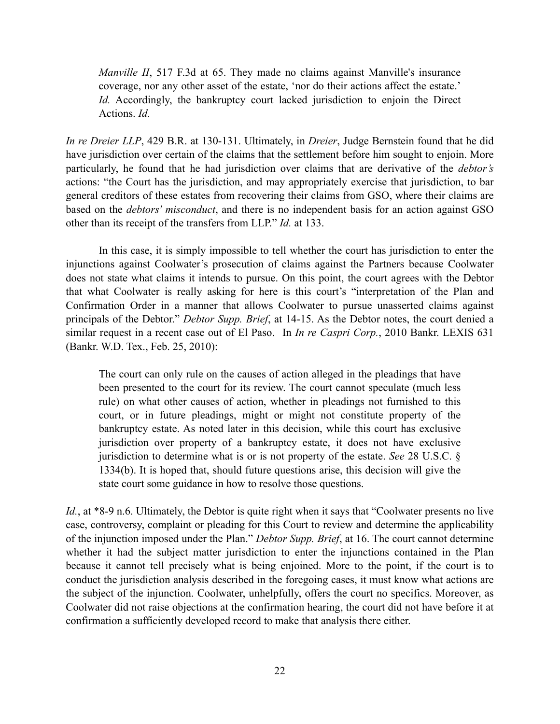*Manville II*, 517 F.3d at 65. They made no claims against Manville's insurance coverage, nor any other asset of the estate, 'nor do their actions affect the estate.' *Id.* Accordingly, the bankruptcy court lacked jurisdiction to enjoin the Direct Actions. *Id.*

*In re Dreier LLP*, 429 B.R. at 130-131. Ultimately, in *Dreier*, Judge Bernstein found that he did have jurisdiction over certain of the claims that the settlement before him sought to enjoin. More particularly, he found that he had jurisdiction over claims that are derivative of the *debtor's*  actions: "the Court has the jurisdiction, and may appropriately exercise that jurisdiction, to bar general creditors of these estates from recovering their claims from GSO, where their claims are based on the *debtors' misconduct*, and there is no independent basis for an action against GSO other than its receipt of the transfers from LLP." *Id.* at 133.

In this case, it is simply impossible to tell whether the court has jurisdiction to enter the injunctions against Coolwater's prosecution of claims against the Partners because Coolwater does not state what claims it intends to pursue. On this point, the court agrees with the Debtor that what Coolwater is really asking for here is this court's "interpretation of the Plan and Confirmation Order in a manner that allows Coolwater to pursue unasserted claims against principals of the Debtor." *Debtor Supp. Brief*, at 14-15. As the Debtor notes, the court denied a similar request in a recent case out of El Paso. In *In re Caspri Corp.*, 2010 Bankr. LEXIS 631 (Bankr. W.D. Tex., Feb. 25, 2010):

The court can only rule on the causes of action alleged in the pleadings that have been presented to the court for its review. The court cannot speculate (much less rule) on what other causes of action, whether in pleadings not furnished to this court, or in future pleadings, might or might not constitute property of the bankruptcy estate. As noted later in this decision, while this court has exclusive jurisdiction over property of a bankruptcy estate, it does not have exclusive jurisdiction to determine what is or is not property of the estate. *See* 28 U.S.C. § 1334(b). It is hoped that, should future questions arise, this decision will give the state court some guidance in how to resolve those questions.

*Id.*, at \*8-9 n.6. Ultimately, the Debtor is quite right when it says that "Coolwater presents no live case, controversy, complaint or pleading for this Court to review and determine the applicability of the injunction imposed under the Plan." *Debtor Supp. Brief*, at 16. The court cannot determine whether it had the subject matter jurisdiction to enter the injunctions contained in the Plan because it cannot tell precisely what is being enjoined. More to the point, if the court is to conduct the jurisdiction analysis described in the foregoing cases, it must know what actions are the subject of the injunction. Coolwater, unhelpfully, offers the court no specifics. Moreover, as Coolwater did not raise objections at the confirmation hearing, the court did not have before it at confirmation a sufficiently developed record to make that analysis there either.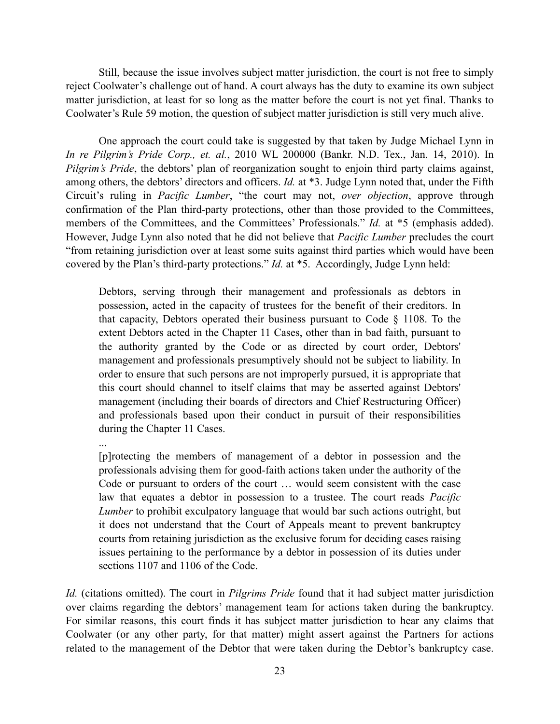Still, because the issue involves subject matter jurisdiction, the court is not free to simply reject Coolwater's challenge out of hand. A court always has the duty to examine its own subject matter jurisdiction, at least for so long as the matter before the court is not yet final. Thanks to Coolwater's Rule 59 motion, the question of subject matter jurisdiction is still very much alive.

One approach the court could take is suggested by that taken by Judge Michael Lynn in *In re Pilgrim's Pride Corp., et. al.*, 2010 WL 200000 (Bankr. N.D. Tex., Jan. 14, 2010). In *Pilgrim's Pride*, the debtors' plan of reorganization sought to enjoin third party claims against, among others, the debtors' directors and officers. *Id.* at \*3. Judge Lynn noted that, under the Fifth Circuit's ruling in *Pacific Lumber*, "the court may not, *over objection*, approve through confirmation of the Plan third-party protections, other than those provided to the Committees, members of the Committees, and the Committees' Professionals." *Id.* at \*5 (emphasis added). However, Judge Lynn also noted that he did not believe that *Pacific Lumber* precludes the court "from retaining jurisdiction over at least some suits against third parties which would have been covered by the Plan's third-party protections." *Id.* at \*5. Accordingly, Judge Lynn held:

Debtors, serving through their management and professionals as debtors in possession, acted in the capacity of trustees for the benefit of their creditors. In that capacity, Debtors operated their business pursuant to Code § 1108. To the extent Debtors acted in the Chapter 11 Cases, other than in bad faith, pursuant to the authority granted by the Code or as directed by court order, Debtors' management and professionals presumptively should not be subject to liability. In order to ensure that such persons are not improperly pursued, it is appropriate that this court should channel to itself claims that may be asserted against Debtors' management (including their boards of directors and Chief Restructuring Officer) and professionals based upon their conduct in pursuit of their responsibilities during the Chapter 11 Cases.

...

[p]rotecting the members of management of a debtor in possession and the professionals advising them for good-faith actions taken under the authority of the Code or pursuant to orders of the court … would seem consistent with the case law that equates a debtor in possession to a trustee. The court reads *Pacific Lumber* to prohibit exculpatory language that would bar such actions outright, but it does not understand that the Court of Appeals meant to prevent bankruptcy courts from retaining jurisdiction as the exclusive forum for deciding cases raising issues pertaining to the performance by a debtor in possession of its duties under sections 1107 and 1106 of the Code.

*Id.* (citations omitted). The court in *Pilgrims Pride* found that it had subject matter jurisdiction over claims regarding the debtors' management team for actions taken during the bankruptcy. For similar reasons, this court finds it has subject matter jurisdiction to hear any claims that Coolwater (or any other party, for that matter) might assert against the Partners for actions related to the management of the Debtor that were taken during the Debtor's bankruptcy case.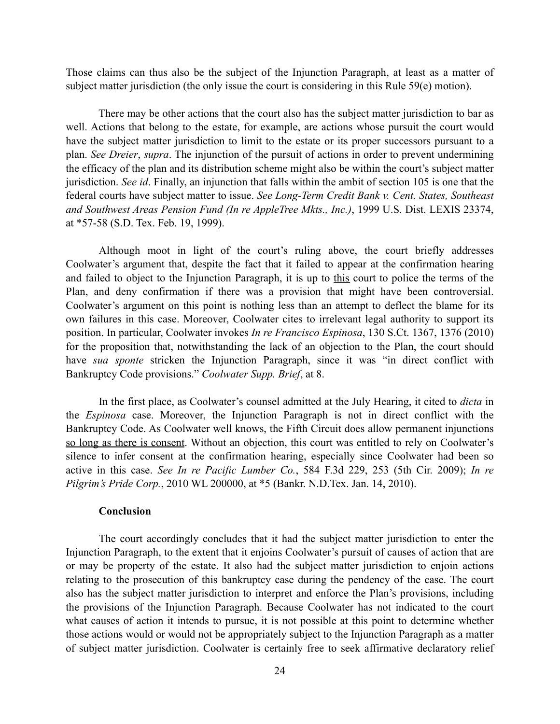Those claims can thus also be the subject of the Injunction Paragraph, at least as a matter of subject matter jurisdiction (the only issue the court is considering in this Rule 59(e) motion).

 There may be other actions that the court also has the subject matter jurisdiction to bar as well. Actions that belong to the estate, for example, are actions whose pursuit the court would have the subject matter jurisdiction to limit to the estate or its proper successors pursuant to a plan. *See Dreier*, *supra*. The injunction of the pursuit of actions in order to prevent undermining the efficacy of the plan and its distribution scheme might also be within the court's subject matter jurisdiction. *See id*. Finally, an injunction that falls within the ambit of section 105 is one that the federal courts have subject matter to issue. *See Long-Term Credit Bank v. Cent. States, Southeast and Southwest Areas Pension Fund (In re AppleTree Mkts., Inc.)*, 1999 U.S. Dist. LEXIS 23374, at \*57-58 (S.D. Tex. Feb. 19, 1999).

Although moot in light of the court's ruling above, the court briefly addresses Coolwater's argument that, despite the fact that it failed to appear at the confirmation hearing and failed to object to the Injunction Paragraph, it is up to this court to police the terms of the Plan, and deny confirmation if there was a provision that might have been controversial. Coolwater's argument on this point is nothing less than an attempt to deflect the blame for its own failures in this case. Moreover, Coolwater cites to irrelevant legal authority to support its position. In particular, Coolwater invokes *In re Francisco Espinosa*, 130 S.Ct. 1367, 1376 (2010) for the proposition that, notwithstanding the lack of an objection to the Plan, the court should have *sua sponte* stricken the Injunction Paragraph, since it was "in direct conflict with Bankruptcy Code provisions." *Coolwater Supp. Brief*, at 8.

In the first place, as Coolwater's counsel admitted at the July Hearing, it cited to *dicta* in the *Espinosa* case. Moreover, the Injunction Paragraph is not in direct conflict with the Bankruptcy Code. As Coolwater well knows, the Fifth Circuit does allow permanent injunctions so long as there is consent. Without an objection, this court was entitled to rely on Coolwater's silence to infer consent at the confirmation hearing, especially since Coolwater had been so active in this case. *See In re Pacific Lumber Co.*, 584 F.3d 229, 253 (5th Cir. 2009); *In re Pilgrim's Pride Corp.*, 2010 WL 200000, at \*5 (Bankr. N.D.Tex. Jan. 14, 2010).

## **Conclusion**

The court accordingly concludes that it had the subject matter jurisdiction to enter the Injunction Paragraph, to the extent that it enjoins Coolwater's pursuit of causes of action that are or may be property of the estate. It also had the subject matter jurisdiction to enjoin actions relating to the prosecution of this bankruptcy case during the pendency of the case. The court also has the subject matter jurisdiction to interpret and enforce the Plan's provisions, including the provisions of the Injunction Paragraph. Because Coolwater has not indicated to the court what causes of action it intends to pursue, it is not possible at this point to determine whether those actions would or would not be appropriately subject to the Injunction Paragraph as a matter of subject matter jurisdiction. Coolwater is certainly free to seek affirmative declaratory relief